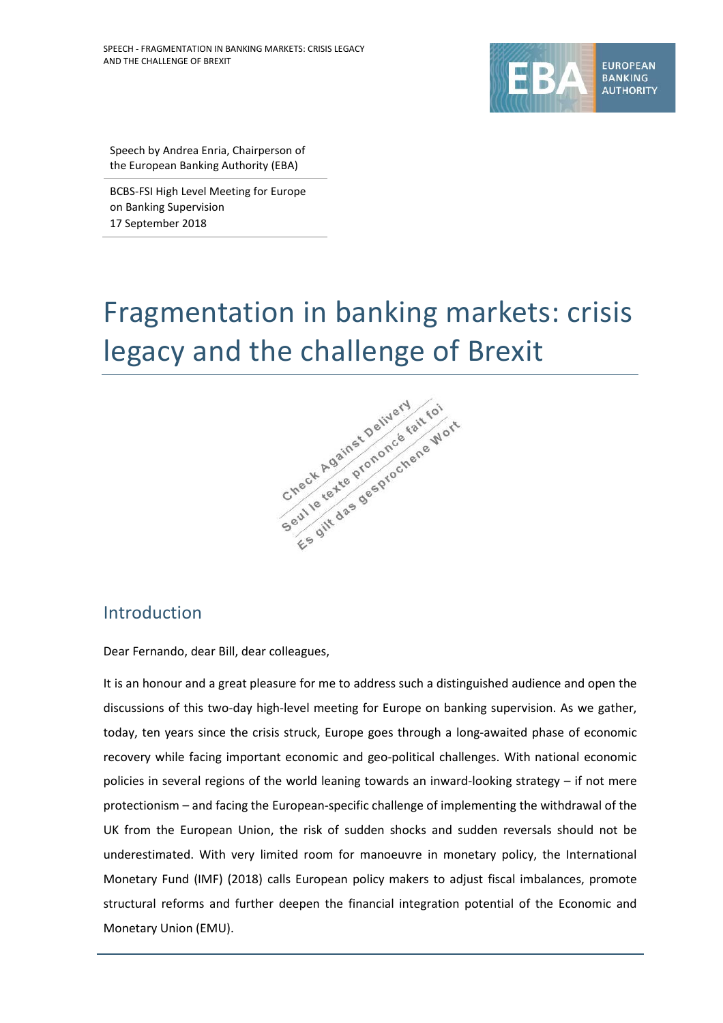

Speech by Andrea Enria, Chairperson of the European Banking Authority (EBA)

BCBS-FSI High Level Meeting for Europe on Banking Supervision 17 September 2018

# Fragmentation in banking markets: crisis



### Introduction

Dear Fernando, dear Bill, dear colleagues,

It is an honour and a great pleasure for me to address such a distinguished audience and open the discussions of this two-day high-level meeting for Europe on banking supervision. As we gather, today, ten years since the crisis struck, Europe goes through a long-awaited phase of economic recovery while facing important economic and geo-political challenges. With national economic policies in several regions of the world leaning towards an inward-looking strategy – if not mere protectionism – and facing the European-specific challenge of implementing the withdrawal of the UK from the European Union, the risk of sudden shocks and sudden reversals should not be underestimated. With very limited room for manoeuvre in monetary policy, the International Monetary Fund (IMF) (2018) calls European policy makers to adjust fiscal imbalances, promote structural reforms and further deepen the financial integration potential of the Economic and Monetary Union (EMU).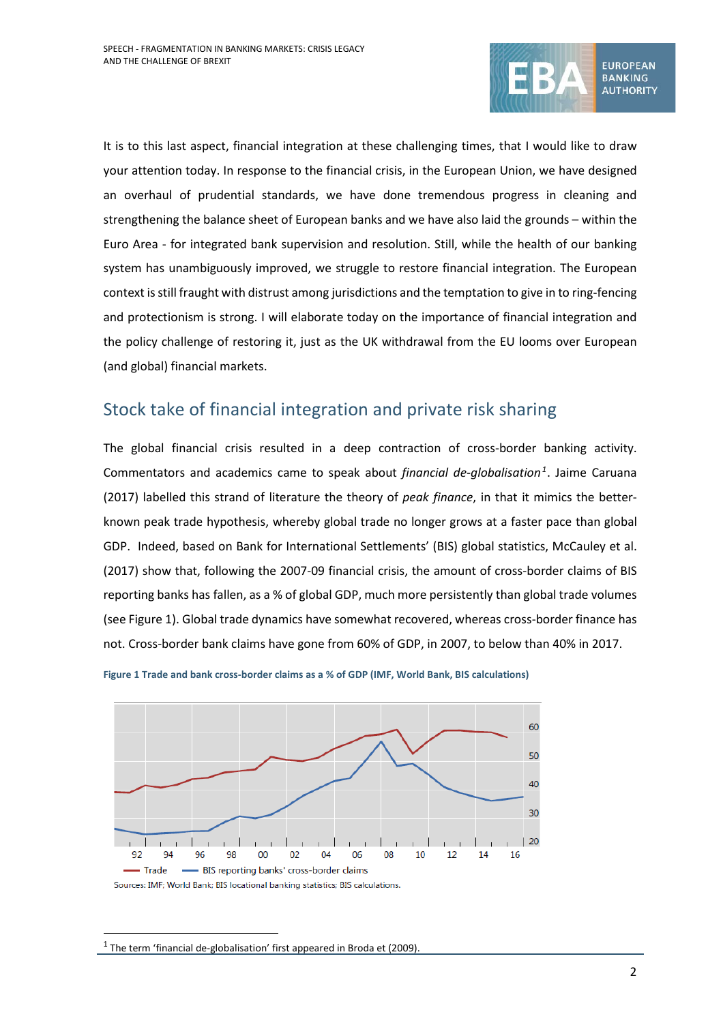

It is to this last aspect, financial integration at these challenging times, that I would like to draw your attention today. In response to the financial crisis, in the European Union, we have designed an overhaul of prudential standards, we have done tremendous progress in cleaning and strengthening the balance sheet of European banks and we have also laid the grounds – within the Euro Area - for integrated bank supervision and resolution. Still, while the health of our banking system has unambiguously improved, we struggle to restore financial integration. The European context is still fraught with distrust among jurisdictions and the temptation to give in to ring-fencing and protectionism is strong. I will elaborate today on the importance of financial integration and the policy challenge of restoring it, just as the UK withdrawal from the EU looms over European (and global) financial markets.

## Stock take of financial integration and private risk sharing

The global financial crisis resulted in a deep contraction of cross-border banking activity. Commentators and academics came to speak about *financial de-globalisation[1](#page-1-1)*. Jaime Caruana (2017) labelled this strand of literature the theory of *peak finance*, in that it mimics the betterknown peak trade hypothesis, whereby global trade no longer grows at a faster pace than global GDP. Indeed, based on Bank for International Settlements' (BIS) global statistics, McCauley et al. (2017) show that, following the 2007-09 financial crisis, the amount of cross-border claims of BIS reporting banks has fallen, as a % of global GDP, much more persistently than global trade volumes (see [Figure 1\)](#page-1-0). Global trade dynamics have somewhat recovered, whereas cross-border finance has not. Cross-border bank claims have gone from 60% of GDP, in 2007, to below than 40% in 2017.



<span id="page-1-0"></span>

<span id="page-1-1"></span><sup>&</sup>lt;sup>1</sup> The term 'financial de-globalisation' first appeared in Broda et (2009).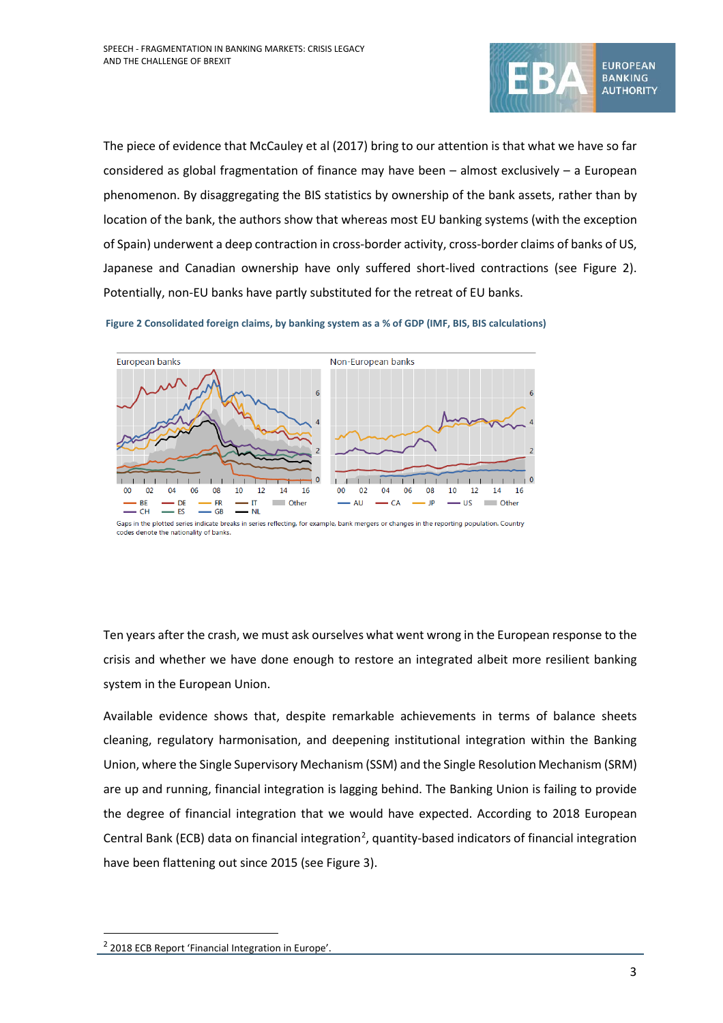

The piece of evidence that McCauley et al (2017) bring to our attention is that what we have so far considered as global fragmentation of finance may have been – almost exclusively – a European phenomenon. By disaggregating the BIS statistics by ownership of the bank assets, rather than by location of the bank, the authors show that whereas most EU banking systems (with the exception of Spain) underwent a deep contraction in cross-border activity, cross-border claims of banks of US, Japanese and Canadian ownership have only suffered short-lived contractions (see [Figure 2\)](#page-2-0). Potentially, non-EU banks have partly substituted for the retreat of EU banks.

<span id="page-2-0"></span>



Gaps in the plotted series indicate breaks in series reflecting, for example, bank mergers or changes in the reporting population. Country codes denote the nationality of banks.

Ten years after the crash, we must ask ourselves what went wrong in the European response to the crisis and whether we have done enough to restore an integrated albeit more resilient banking system in the European Union.

Available evidence shows that, despite remarkable achievements in terms of balance sheets cleaning, regulatory harmonisation, and deepening institutional integration within the Banking Union, where the Single Supervisory Mechanism (SSM) and the Single Resolution Mechanism (SRM) are up and running, financial integration is lagging behind. The Banking Union is failing to provide the degree of financial integration that we would have expected. According to 2018 European Central Bank (ECB) data on financial integration<sup>[2](#page-2-1)</sup>, quantity-based indicators of financial integration have been flattening out since 2015 (se[e Figure 3\)](#page-3-0).

<span id="page-2-1"></span><sup>2</sup> 2018 ECB Report 'Financial Integration in Europe'.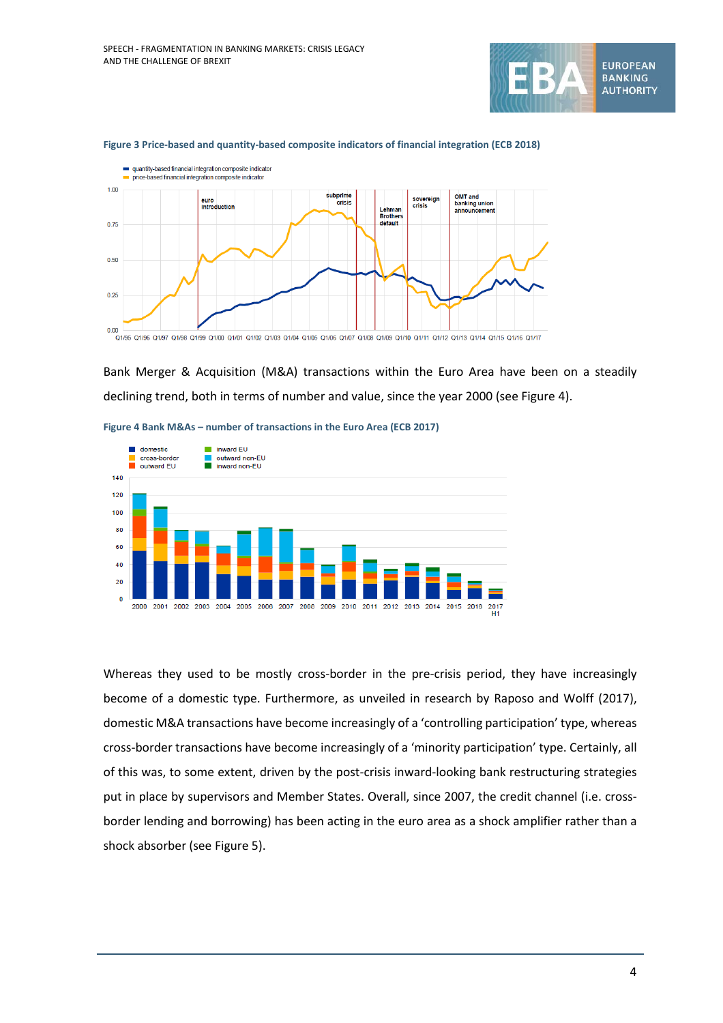



#### <span id="page-3-0"></span>**Figure 3 Price-based and quantity-based composite indicators of financial integration (ECB 2018)**

Bank Merger & Acquisition (M&A) transactions within the Euro Area have been on a steadily declining trend, both in terms of number and value, since the year 2000 (see [Figure 4\)](#page-3-1).



<span id="page-3-1"></span>**Figure 4 Bank M&As – number of transactions in the Euro Area (ECB 2017)**

Whereas they used to be mostly cross-border in the pre-crisis period, they have increasingly become of a domestic type. Furthermore, as unveiled in research by Raposo and Wolff (2017), domestic M&A transactions have become increasingly of a 'controlling participation' type, whereas cross-border transactions have become increasingly of a 'minority participation' type. Certainly, all of this was, to some extent, driven by the post-crisis inward-looking bank restructuring strategies put in place by supervisors and Member States. Overall, since 2007, the credit channel (i.e. crossborder lending and borrowing) has been acting in the euro area as a shock amplifier rather than a shock absorber (se[e Figure 5\)](#page-4-0).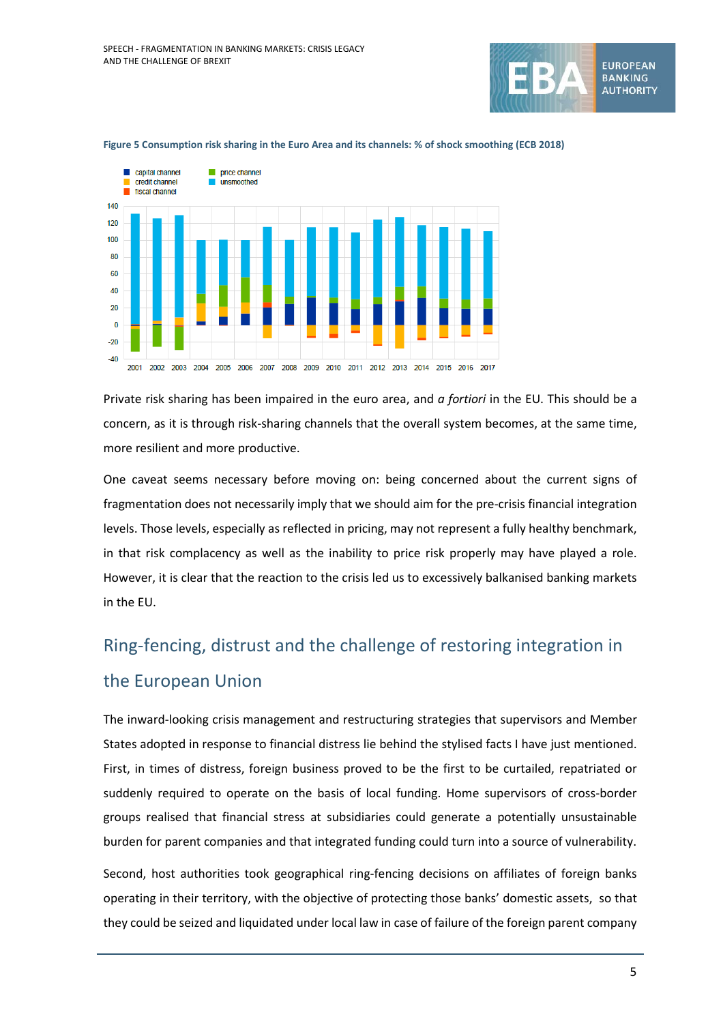



#### <span id="page-4-0"></span>**Figure 5 Consumption risk sharing in the Euro Area and its channels: % of shock smoothing (ECB 2018)**

Private risk sharing has been impaired in the euro area, and *a fortiori* in the EU. This should be a concern, as it is through risk-sharing channels that the overall system becomes, at the same time, more resilient and more productive.

One caveat seems necessary before moving on: being concerned about the current signs of fragmentation does not necessarily imply that we should aim for the pre-crisis financial integration levels. Those levels, especially as reflected in pricing, may not represent a fully healthy benchmark, in that risk complacency as well as the inability to price risk properly may have played a role. However, it is clear that the reaction to the crisis led us to excessively balkanised banking markets in the EU.

# Ring-fencing, distrust and the challenge of restoring integration in the European Union

The inward-looking crisis management and restructuring strategies that supervisors and Member States adopted in response to financial distress lie behind the stylised facts I have just mentioned. First, in times of distress, foreign business proved to be the first to be curtailed, repatriated or suddenly required to operate on the basis of local funding. Home supervisors of cross-border groups realised that financial stress at subsidiaries could generate a potentially unsustainable burden for parent companies and that integrated funding could turn into a source of vulnerability.

Second, host authorities took geographical ring-fencing decisions on affiliates of foreign banks operating in their territory, with the objective of protecting those banks' domestic assets, so that they could be seized and liquidated under local law in case of failure of the foreign parent company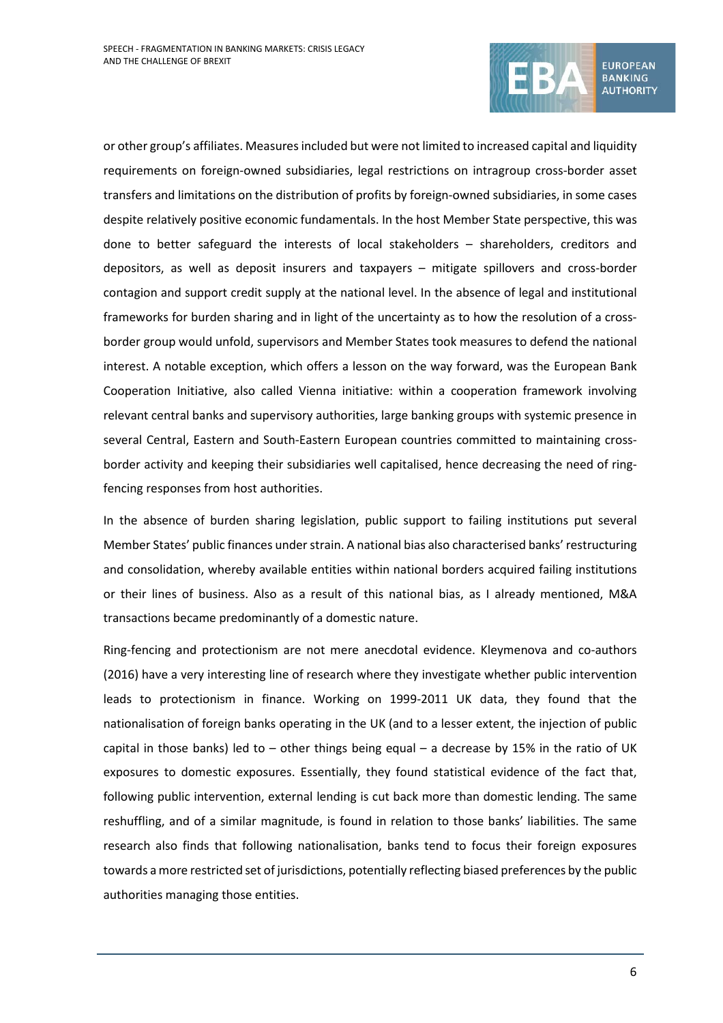

or other group's affiliates. Measures included but were not limited to increased capital and liquidity requirements on foreign-owned subsidiaries, legal restrictions on intragroup cross-border asset transfers and limitations on the distribution of profits by foreign-owned subsidiaries, in some cases despite relatively positive economic fundamentals. In the host Member State perspective, this was done to better safeguard the interests of local stakeholders – shareholders, creditors and depositors, as well as deposit insurers and taxpayers – mitigate spillovers and cross-border contagion and support credit supply at the national level. In the absence of legal and institutional frameworks for burden sharing and in light of the uncertainty as to how the resolution of a crossborder group would unfold, supervisors and Member States took measures to defend the national interest. A notable exception, which offers a lesson on the way forward, was the European Bank Cooperation Initiative, also called Vienna initiative: within a cooperation framework involving relevant central banks and supervisory authorities, large banking groups with systemic presence in several Central, Eastern and South-Eastern European countries committed to maintaining crossborder activity and keeping their subsidiaries well capitalised, hence decreasing the need of ringfencing responses from host authorities.

In the absence of burden sharing legislation, public support to failing institutions put several Member States' public finances under strain. A national bias also characterised banks' restructuring and consolidation, whereby available entities within national borders acquired failing institutions or their lines of business. Also as a result of this national bias, as I already mentioned, M&A transactions became predominantly of a domestic nature.

Ring-fencing and protectionism are not mere anecdotal evidence. Kleymenova and co-authors (2016) have a very interesting line of research where they investigate whether public intervention leads to protectionism in finance. Working on 1999-2011 UK data, they found that the nationalisation of foreign banks operating in the UK (and to a lesser extent, the injection of public capital in those banks) led to – other things being equal – a decrease by 15% in the ratio of UK exposures to domestic exposures. Essentially, they found statistical evidence of the fact that, following public intervention, external lending is cut back more than domestic lending. The same reshuffling, and of a similar magnitude, is found in relation to those banks' liabilities. The same research also finds that following nationalisation, banks tend to focus their foreign exposures towards a more restricted set of jurisdictions, potentially reflecting biased preferences by the public authorities managing those entities.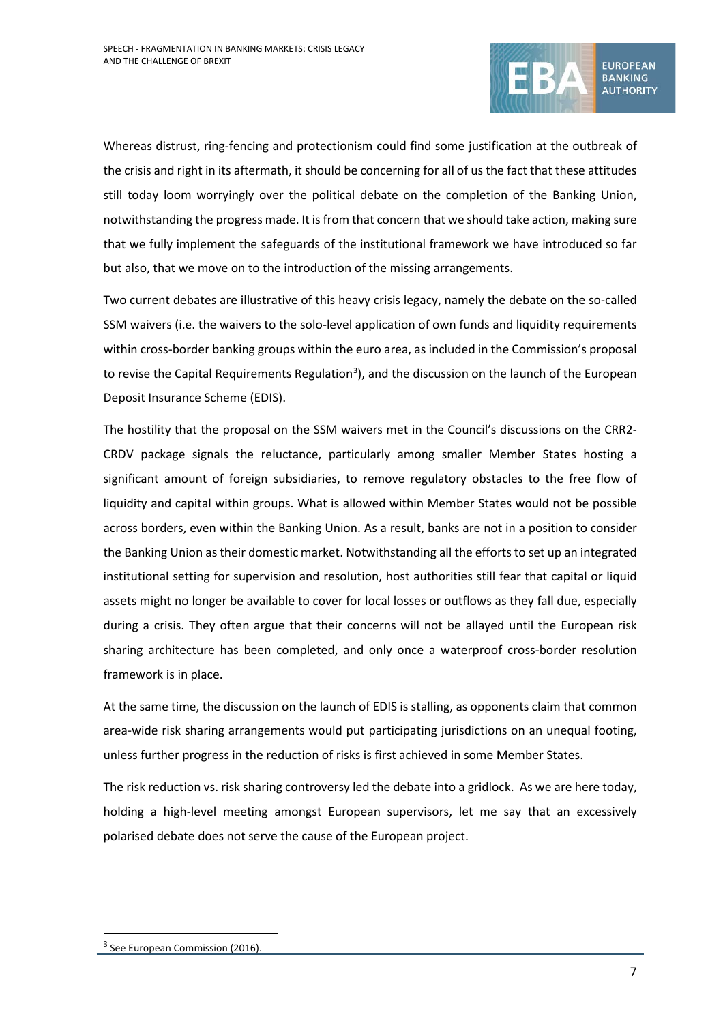

Whereas distrust, ring-fencing and protectionism could find some justification at the outbreak of the crisis and right in its aftermath, it should be concerning for all of us the fact that these attitudes still today loom worryingly over the political debate on the completion of the Banking Union, notwithstanding the progress made. It is from that concern that we should take action, making sure that we fully implement the safeguards of the institutional framework we have introduced so far but also, that we move on to the introduction of the missing arrangements.

Two current debates are illustrative of this heavy crisis legacy, namely the debate on the so-called SSM waivers (i.e. the waivers to the solo-level application of own funds and liquidity requirements within cross-border banking groups within the euro area, as included in the Commission's proposal to revise the Capital Requirements Regulation<sup>[3](#page-6-0)</sup>), and the discussion on the launch of the European Deposit Insurance Scheme (EDIS).

The hostility that the proposal on the SSM waivers met in the Council's discussions on the CRR2- CRDV package signals the reluctance, particularly among smaller Member States hosting a significant amount of foreign subsidiaries, to remove regulatory obstacles to the free flow of liquidity and capital within groups. What is allowed within Member States would not be possible across borders, even within the Banking Union. As a result, banks are not in a position to consider the Banking Union as their domestic market. Notwithstanding all the efforts to set up an integrated institutional setting for supervision and resolution, host authorities still fear that capital or liquid assets might no longer be available to cover for local losses or outflows as they fall due, especially during a crisis. They often argue that their concerns will not be allayed until the European risk sharing architecture has been completed, and only once a waterproof cross-border resolution framework is in place.

At the same time, the discussion on the launch of EDIS is stalling, as opponents claim that common area-wide risk sharing arrangements would put participating jurisdictions on an unequal footing, unless further progress in the reduction of risks is first achieved in some Member States.

The risk reduction vs. risk sharing controversy led the debate into a gridlock. As we are here today, holding a high-level meeting amongst European supervisors, let me say that an excessively polarised debate does not serve the cause of the European project.

<span id="page-6-0"></span><sup>&</sup>lt;sup>3</sup> See European Commission (2016).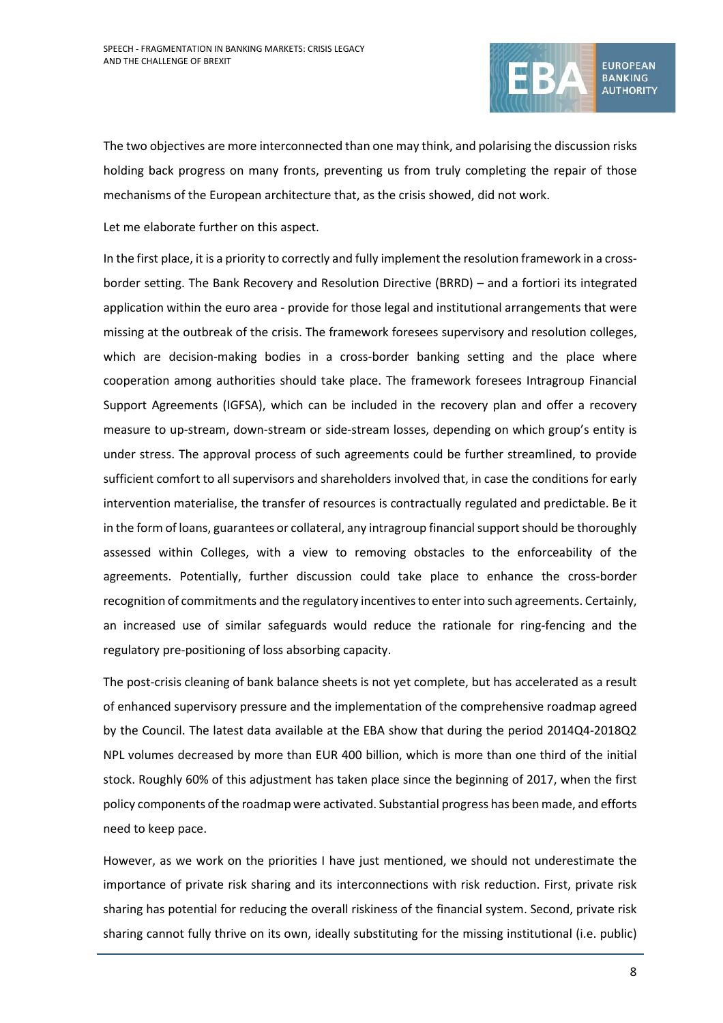

The two objectives are more interconnected than one may think, and polarising the discussion risks holding back progress on many fronts, preventing us from truly completing the repair of those mechanisms of the European architecture that, as the crisis showed, did not work.

Let me elaborate further on this aspect.

In the first place, it is a priority to correctly and fully implement the resolution framework in a crossborder setting. The Bank Recovery and Resolution Directive (BRRD) – and a fortiori its integrated application within the euro area - provide for those legal and institutional arrangements that were missing at the outbreak of the crisis. The framework foresees supervisory and resolution colleges, which are decision-making bodies in a cross-border banking setting and the place where cooperation among authorities should take place. The framework foresees Intragroup Financial Support Agreements (IGFSA), which can be included in the recovery plan and offer a recovery measure to up-stream, down-stream or side-stream losses, depending on which group's entity is under stress. The approval process of such agreements could be further streamlined, to provide sufficient comfort to all supervisors and shareholders involved that, in case the conditions for early intervention materialise, the transfer of resources is contractually regulated and predictable. Be it in the form of loans, guarantees or collateral, any intragroup financial support should be thoroughly assessed within Colleges, with a view to removing obstacles to the enforceability of the agreements. Potentially, further discussion could take place to enhance the cross-border recognition of commitments and the regulatory incentives to enter into such agreements. Certainly, an increased use of similar safeguards would reduce the rationale for ring-fencing and the regulatory pre-positioning of loss absorbing capacity.

The post-crisis cleaning of bank balance sheets is not yet complete, but has accelerated as a result of enhanced supervisory pressure and the implementation of the comprehensive roadmap agreed by the Council. The latest data available at the EBA show that during the period 2014Q4-2018Q2 NPL volumes decreased by more than EUR 400 billion, which is more than one third of the initial stock. Roughly 60% of this adjustment has taken place since the beginning of 2017, when the first policy components of the roadmap were activated. Substantial progress has been made, and efforts need to keep pace.

However, as we work on the priorities I have just mentioned, we should not underestimate the importance of private risk sharing and its interconnections with risk reduction. First, private risk sharing has potential for reducing the overall riskiness of the financial system. Second, private risk sharing cannot fully thrive on its own, ideally substituting for the missing institutional (i.e. public)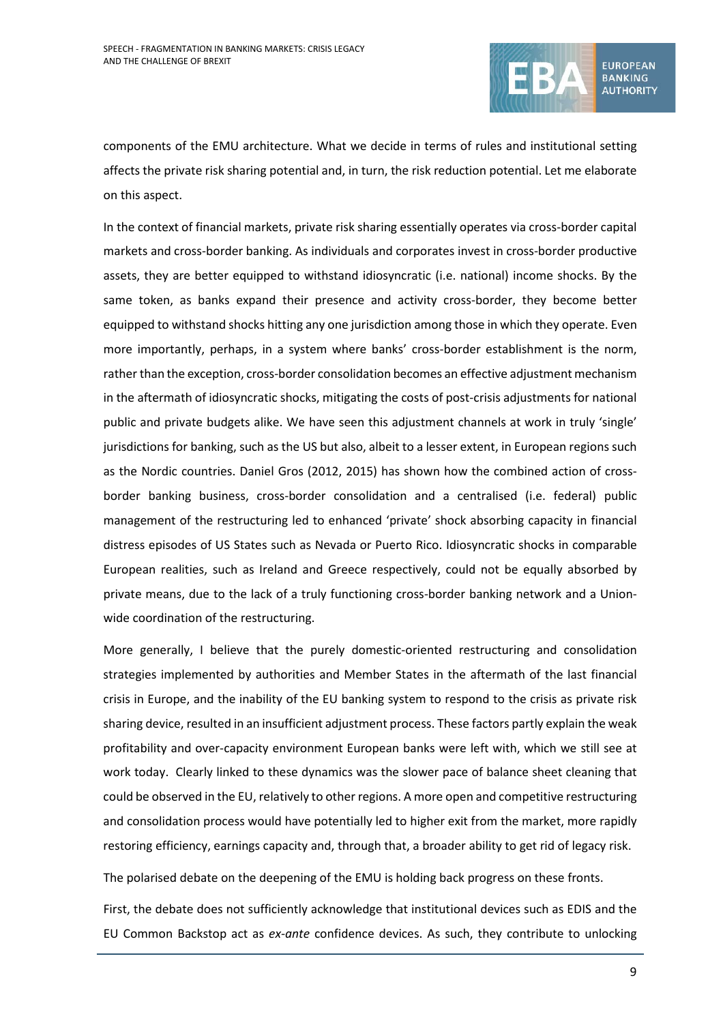

components of the EMU architecture. What we decide in terms of rules and institutional setting affects the private risk sharing potential and, in turn, the risk reduction potential. Let me elaborate on this aspect.

In the context of financial markets, private risk sharing essentially operates via cross-border capital markets and cross-border banking. As individuals and corporates invest in cross-border productive assets, they are better equipped to withstand idiosyncratic (i.e. national) income shocks. By the same token, as banks expand their presence and activity cross-border, they become better equipped to withstand shocks hitting any one jurisdiction among those in which they operate. Even more importantly, perhaps, in a system where banks' cross-border establishment is the norm, rather than the exception, cross-border consolidation becomes an effective adjustment mechanism in the aftermath of idiosyncratic shocks, mitigating the costs of post-crisis adjustments for national public and private budgets alike. We have seen this adjustment channels at work in truly 'single' jurisdictions for banking, such as the US but also, albeit to a lesser extent, in European regions such as the Nordic countries. Daniel Gros (2012, 2015) has shown how the combined action of crossborder banking business, cross-border consolidation and a centralised (i.e. federal) public management of the restructuring led to enhanced 'private' shock absorbing capacity in financial distress episodes of US States such as Nevada or Puerto Rico. Idiosyncratic shocks in comparable European realities, such as Ireland and Greece respectively, could not be equally absorbed by private means, due to the lack of a truly functioning cross-border banking network and a Unionwide coordination of the restructuring.

More generally, I believe that the purely domestic-oriented restructuring and consolidation strategies implemented by authorities and Member States in the aftermath of the last financial crisis in Europe, and the inability of the EU banking system to respond to the crisis as private risk sharing device, resulted in an insufficient adjustment process. These factors partly explain the weak profitability and over-capacity environment European banks were left with, which we still see at work today. Clearly linked to these dynamics was the slower pace of balance sheet cleaning that could be observed in the EU, relatively to other regions. A more open and competitive restructuring and consolidation process would have potentially led to higher exit from the market, more rapidly restoring efficiency, earnings capacity and, through that, a broader ability to get rid of legacy risk.

The polarised debate on the deepening of the EMU is holding back progress on these fronts.

First, the debate does not sufficiently acknowledge that institutional devices such as EDIS and the EU Common Backstop act as *ex-ante* confidence devices. As such, they contribute to unlocking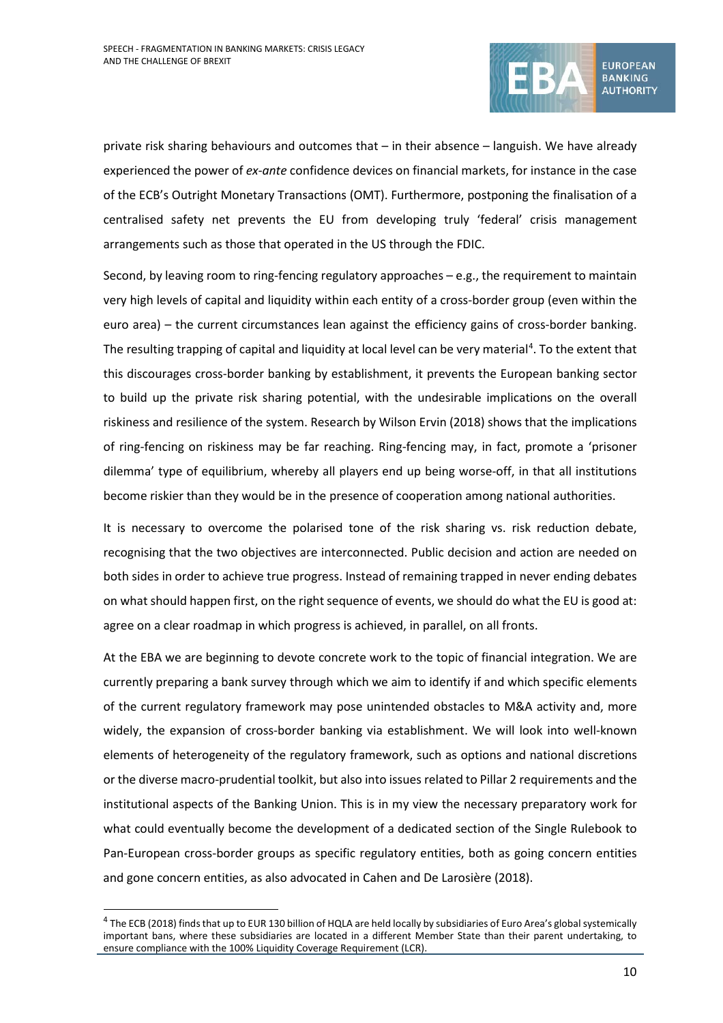

private risk sharing behaviours and outcomes that – in their absence – languish. We have already experienced the power of *ex-ante* confidence devices on financial markets, for instance in the case of the ECB's Outright Monetary Transactions (OMT). Furthermore, postponing the finalisation of a centralised safety net prevents the EU from developing truly 'federal' crisis management arrangements such as those that operated in the US through the FDIC.

Second, by leaving room to ring-fencing regulatory approaches – e.g., the requirement to maintain very high levels of capital and liquidity within each entity of a cross-border group (even within the euro area) – the current circumstances lean against the efficiency gains of cross-border banking. The resulting trapping of capital and liquidity at local level can be very material<sup>[4](#page-9-0)</sup>. To the extent that this discourages cross-border banking by establishment, it prevents the European banking sector to build up the private risk sharing potential, with the undesirable implications on the overall riskiness and resilience of the system. Research by Wilson Ervin (2018) shows that the implications of ring-fencing on riskiness may be far reaching. Ring-fencing may, in fact, promote a 'prisoner dilemma' type of equilibrium, whereby all players end up being worse-off, in that all institutions become riskier than they would be in the presence of cooperation among national authorities.

It is necessary to overcome the polarised tone of the risk sharing vs. risk reduction debate, recognising that the two objectives are interconnected. Public decision and action are needed on both sides in order to achieve true progress. Instead of remaining trapped in never ending debates on what should happen first, on the right sequence of events, we should do what the EU is good at: agree on a clear roadmap in which progress is achieved, in parallel, on all fronts.

At the EBA we are beginning to devote concrete work to the topic of financial integration. We are currently preparing a bank survey through which we aim to identify if and which specific elements of the current regulatory framework may pose unintended obstacles to M&A activity and, more widely, the expansion of cross-border banking via establishment. We will look into well-known elements of heterogeneity of the regulatory framework, such as options and national discretions or the diverse macro-prudential toolkit, but also into issues related to Pillar 2 requirements and the institutional aspects of the Banking Union. This is in my view the necessary preparatory work for what could eventually become the development of a dedicated section of the Single Rulebook to Pan-European cross-border groups as specific regulatory entities, both as going concern entities and gone concern entities, as also advocated in Cahen and De Larosière (2018).

<span id="page-9-0"></span><sup>&</sup>lt;sup>4</sup> The ECB (2018) finds that up to EUR 130 billion of HQLA are held locally by subsidiaries of Euro Area's global systemically important bans, where these subsidiaries are located in a different Member State than their parent undertaking, to ensure compliance with the 100% Liquidity Coverage Requirement (LCR).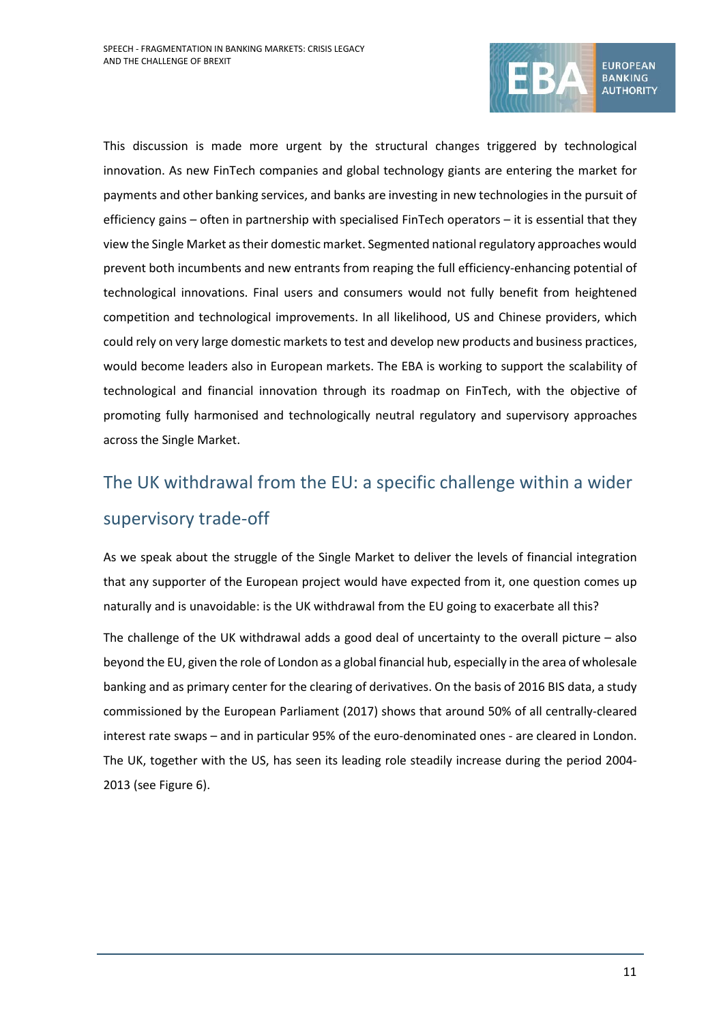

This discussion is made more urgent by the structural changes triggered by technological innovation. As new FinTech companies and global technology giants are entering the market for payments and other banking services, and banks are investing in new technologies in the pursuit of efficiency gains – often in partnership with specialised FinTech operators – it is essential that they view the Single Market as their domestic market. Segmented national regulatory approaches would prevent both incumbents and new entrants from reaping the full efficiency-enhancing potential of technological innovations. Final users and consumers would not fully benefit from heightened competition and technological improvements. In all likelihood, US and Chinese providers, which could rely on very large domestic markets to test and develop new products and business practices, would become leaders also in European markets. The EBA is working to support the scalability of technological and financial innovation through its roadmap on FinTech, with the objective of promoting fully harmonised and technologically neutral regulatory and supervisory approaches across the Single Market.

# The UK withdrawal from the EU: a specific challenge within a wider supervisory trade-off

As we speak about the struggle of the Single Market to deliver the levels of financial integration that any supporter of the European project would have expected from it, one question comes up naturally and is unavoidable: is the UK withdrawal from the EU going to exacerbate all this?

The challenge of the UK withdrawal adds a good deal of uncertainty to the overall picture – also beyond the EU, given the role of London as a global financial hub, especially in the area of wholesale banking and as primary center for the clearing of derivatives. On the basis of 2016 BIS data, a study commissioned by the European Parliament (2017) shows that around 50% of all centrally-cleared interest rate swaps – and in particular 95% of the euro-denominated ones - are cleared in London. The UK, together with the US, has seen its leading role steadily increase during the period 2004- 2013 (see [Figure 6\)](#page-11-0).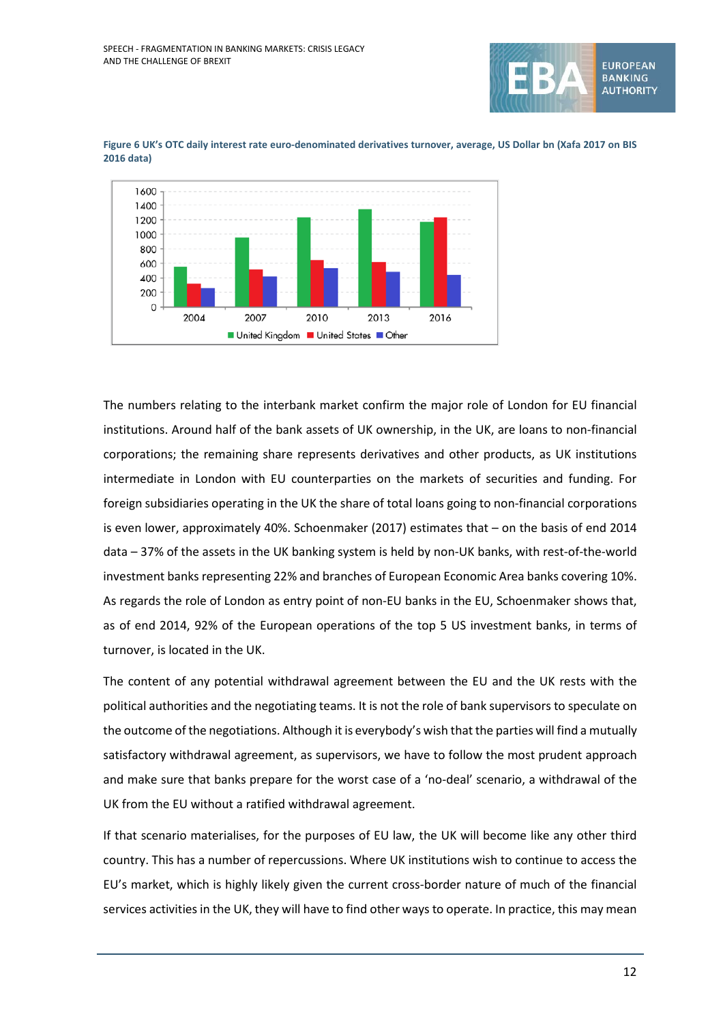



<span id="page-11-0"></span>**Figure 6 UK's OTC daily interest rate euro-denominated derivatives turnover, average, US Dollar bn (Xafa 2017 on BIS 2016 data)**

The numbers relating to the interbank market confirm the major role of London for EU financial institutions. Around half of the bank assets of UK ownership, in the UK, are loans to non-financial corporations; the remaining share represents derivatives and other products, as UK institutions intermediate in London with EU counterparties on the markets of securities and funding. For foreign subsidiaries operating in the UK the share of total loans going to non-financial corporations is even lower, approximately 40%. Schoenmaker (2017) estimates that – on the basis of end 2014 data – 37% of the assets in the UK banking system is held by non-UK banks, with rest-of-the-world investment banks representing 22% and branches of European Economic Area banks covering 10%. As regards the role of London as entry point of non-EU banks in the EU, Schoenmaker shows that, as of end 2014, 92% of the European operations of the top 5 US investment banks, in terms of turnover, is located in the UK.

The content of any potential withdrawal agreement between the EU and the UK rests with the political authorities and the negotiating teams. It is not the role of bank supervisors to speculate on the outcome of the negotiations. Although it is everybody's wish that the parties will find a mutually satisfactory withdrawal agreement, as supervisors, we have to follow the most prudent approach and make sure that banks prepare for the worst case of a 'no-deal' scenario, a withdrawal of the UK from the EU without a ratified withdrawal agreement.

If that scenario materialises, for the purposes of EU law, the UK will become like any other third country. This has a number of repercussions. Where UK institutions wish to continue to access the EU's market, which is highly likely given the current cross-border nature of much of the financial services activities in the UK, they will have to find other ways to operate. In practice, this may mean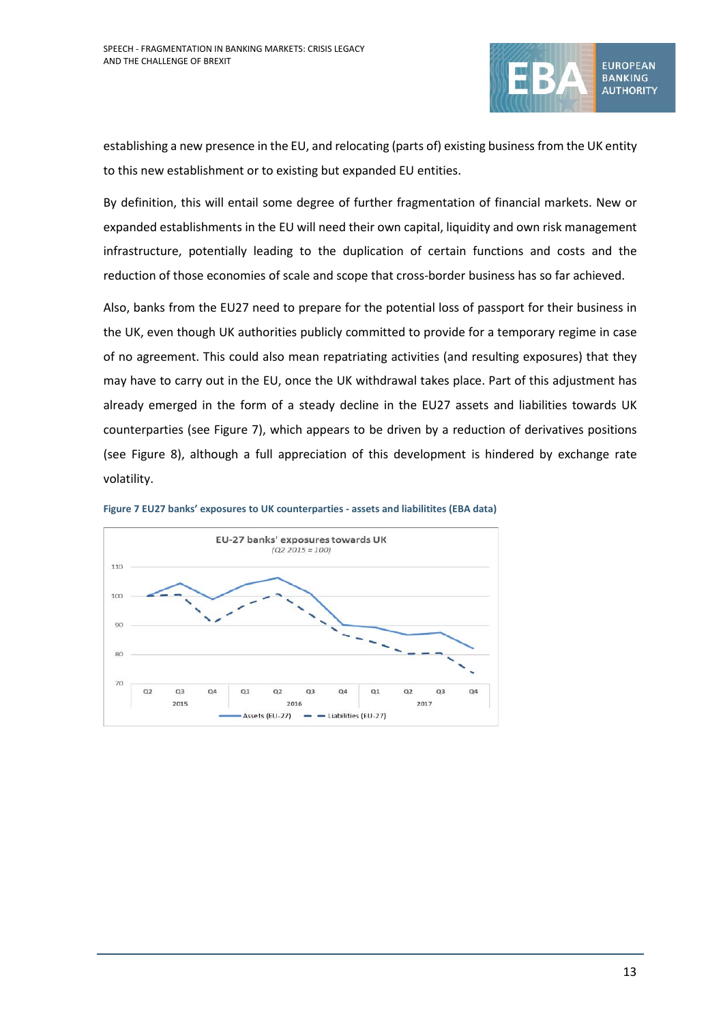

establishing a new presence in the EU, and relocating (parts of) existing business from the UK entity to this new establishment or to existing but expanded EU entities.

By definition, this will entail some degree of further fragmentation of financial markets. New or expanded establishments in the EU will need their own capital, liquidity and own risk management infrastructure, potentially leading to the duplication of certain functions and costs and the reduction of those economies of scale and scope that cross-border business has so far achieved.

Also, banks from the EU27 need to prepare for the potential loss of passport for their business in the UK, even though UK authorities publicly committed to provide for a temporary regime in case of no agreement. This could also mean repatriating activities (and resulting exposures) that they may have to carry out in the EU, once the UK withdrawal takes place. Part of this adjustment has already emerged in the form of a steady decline in the EU27 assets and liabilities towards UK counterparties (see [Figure 7\)](#page-12-0), which appears to be driven by a reduction of derivatives positions (see [Figure 8\)](#page-13-0), although a full appreciation of this development is hindered by exchange rate volatility.



<span id="page-12-0"></span>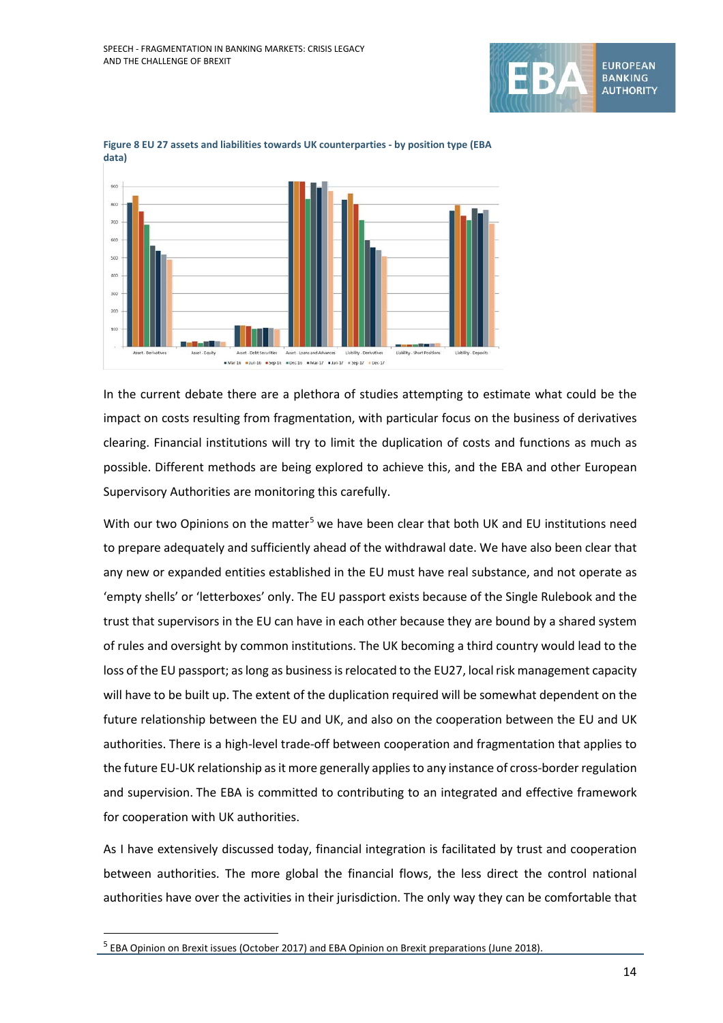



<span id="page-13-0"></span>

In the current debate there are a plethora of studies attempting to estimate what could be the impact on costs resulting from fragmentation, with particular focus on the business of derivatives clearing. Financial institutions will try to limit the duplication of costs and functions as much as possible. Different methods are being explored to achieve this, and the EBA and other European Supervisory Authorities are monitoring this carefully.

With our two Opinions on the matter<sup>[5](#page-13-1)</sup> we have been clear that both UK and EU institutions need to prepare adequately and sufficiently ahead of the withdrawal date. We have also been clear that any new or expanded entities established in the EU must have real substance, and not operate as 'empty shells' or 'letterboxes' only. The EU passport exists because of the Single Rulebook and the trust that supervisors in the EU can have in each other because they are bound by a shared system of rules and oversight by common institutions. The UK becoming a third country would lead to the loss of the EU passport; as long as business is relocated to the EU27, local risk management capacity will have to be built up. The extent of the duplication required will be somewhat dependent on the future relationship between the EU and UK, and also on the cooperation between the EU and UK authorities. There is a high-level trade-off between cooperation and fragmentation that applies to the future EU-UK relationship as it more generally applies to any instance of cross-border regulation and supervision. The EBA is committed to contributing to an integrated and effective framework for cooperation with UK authorities.

As I have extensively discussed today, financial integration is facilitated by trust and cooperation between authorities. The more global the financial flows, the less direct the control national authorities have over the activities in their jurisdiction. The only way they can be comfortable that

<span id="page-13-1"></span><sup>&</sup>lt;sup>5</sup> EBA Opinion on Brexit issues (October 2017) and EBA Opinion on Brexit preparations (June 2018).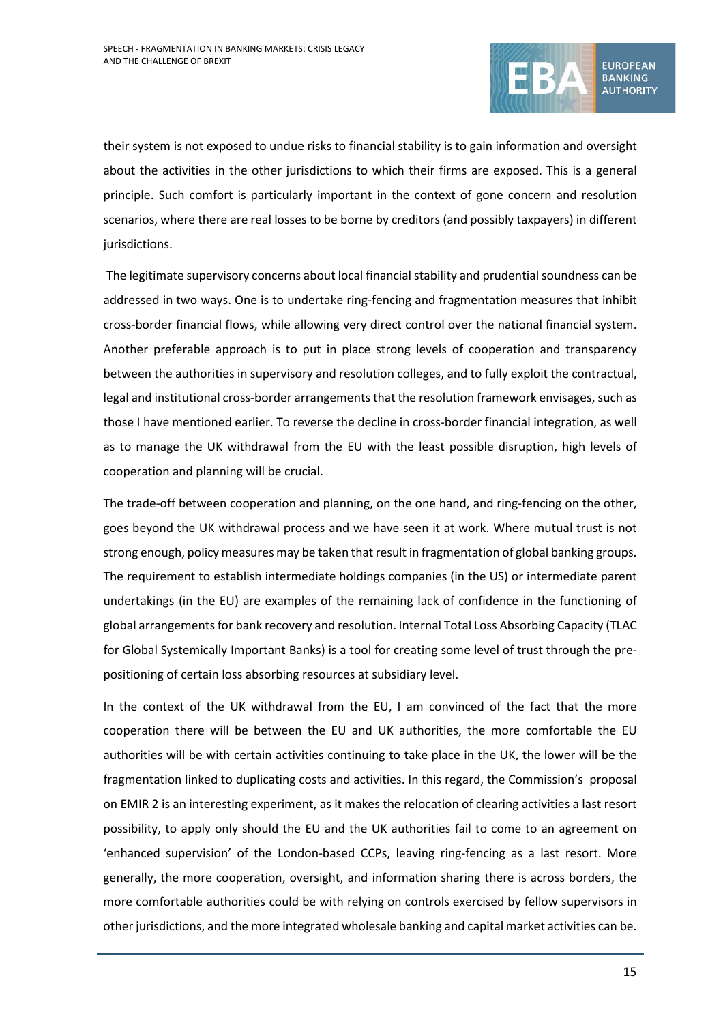

their system is not exposed to undue risks to financial stability is to gain information and oversight about the activities in the other jurisdictions to which their firms are exposed. This is a general principle. Such comfort is particularly important in the context of gone concern and resolution scenarios, where there are real losses to be borne by creditors (and possibly taxpayers) in different jurisdictions.

The legitimate supervisory concerns about local financial stability and prudential soundness can be addressed in two ways. One is to undertake ring-fencing and fragmentation measures that inhibit cross-border financial flows, while allowing very direct control over the national financial system. Another preferable approach is to put in place strong levels of cooperation and transparency between the authorities in supervisory and resolution colleges, and to fully exploit the contractual, legal and institutional cross-border arrangements that the resolution framework envisages, such as those I have mentioned earlier. To reverse the decline in cross-border financial integration, as well as to manage the UK withdrawal from the EU with the least possible disruption, high levels of cooperation and planning will be crucial.

The trade-off between cooperation and planning, on the one hand, and ring-fencing on the other, goes beyond the UK withdrawal process and we have seen it at work. Where mutual trust is not strong enough, policy measures may be taken that result in fragmentation of global banking groups. The requirement to establish intermediate holdings companies (in the US) or intermediate parent undertakings (in the EU) are examples of the remaining lack of confidence in the functioning of global arrangements for bank recovery and resolution. Internal Total Loss Absorbing Capacity (TLAC for Global Systemically Important Banks) is a tool for creating some level of trust through the prepositioning of certain loss absorbing resources at subsidiary level.

In the context of the UK withdrawal from the EU, I am convinced of the fact that the more cooperation there will be between the EU and UK authorities, the more comfortable the EU authorities will be with certain activities continuing to take place in the UK, the lower will be the fragmentation linked to duplicating costs and activities. In this regard, the Commission's proposal on EMIR 2 is an interesting experiment, as it makes the relocation of clearing activities a last resort possibility, to apply only should the EU and the UK authorities fail to come to an agreement on 'enhanced supervision' of the London-based CCPs, leaving ring-fencing as a last resort. More generally, the more cooperation, oversight, and information sharing there is across borders, the more comfortable authorities could be with relying on controls exercised by fellow supervisors in other jurisdictions, and the more integrated wholesale banking and capital market activities can be.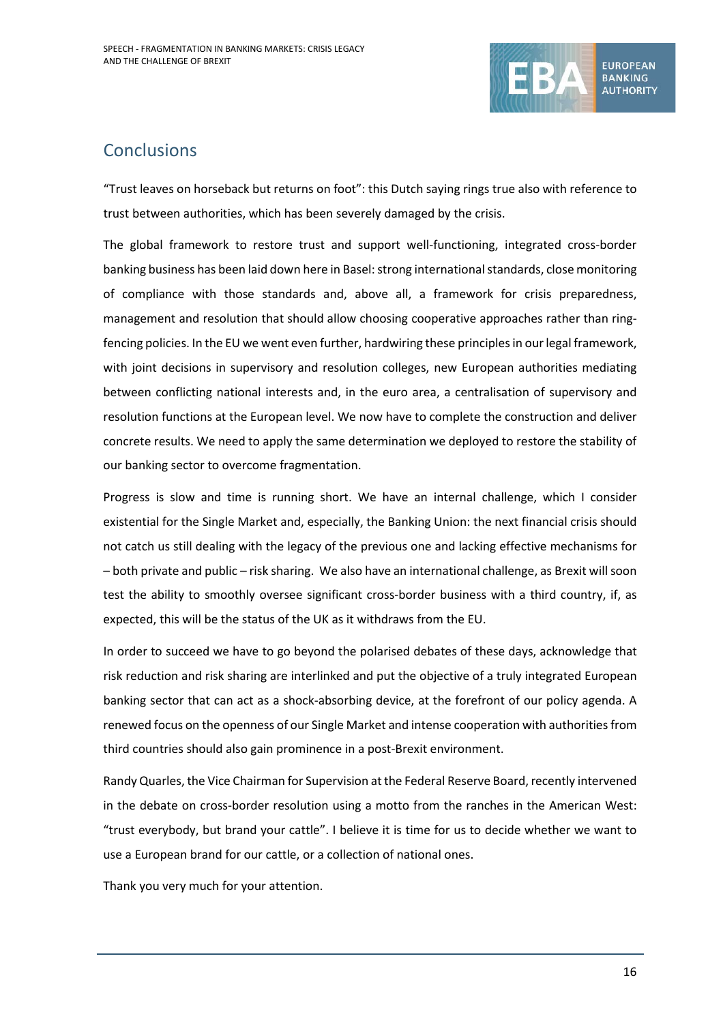

# **Conclusions**

"Trust leaves on horseback but returns on foot": this Dutch saying rings true also with reference to trust between authorities, which has been severely damaged by the crisis.

The global framework to restore trust and support well-functioning, integrated cross-border banking business has been laid down here in Basel: strong international standards, close monitoring of compliance with those standards and, above all, a framework for crisis preparedness, management and resolution that should allow choosing cooperative approaches rather than ringfencing policies. In the EU we went even further, hardwiring these principles in our legal framework, with joint decisions in supervisory and resolution colleges, new European authorities mediating between conflicting national interests and, in the euro area, a centralisation of supervisory and resolution functions at the European level. We now have to complete the construction and deliver concrete results. We need to apply the same determination we deployed to restore the stability of our banking sector to overcome fragmentation.

Progress is slow and time is running short. We have an internal challenge, which I consider existential for the Single Market and, especially, the Banking Union: the next financial crisis should not catch us still dealing with the legacy of the previous one and lacking effective mechanisms for – both private and public – risk sharing. We also have an international challenge, as Brexit will soon test the ability to smoothly oversee significant cross-border business with a third country, if, as expected, this will be the status of the UK as it withdraws from the EU.

In order to succeed we have to go beyond the polarised debates of these days, acknowledge that risk reduction and risk sharing are interlinked and put the objective of a truly integrated European banking sector that can act as a shock-absorbing device, at the forefront of our policy agenda. A renewed focus on the openness of our Single Market and intense cooperation with authoritiesfrom third countries should also gain prominence in a post-Brexit environment.

Randy Quarles, the Vice Chairman for Supervision at the Federal Reserve Board, recently intervened in the debate on cross-border resolution using a motto from the ranches in the American West: "trust everybody, but brand your cattle". I believe it is time for us to decide whether we want to use a European brand for our cattle, or a collection of national ones.

Thank you very much for your attention.